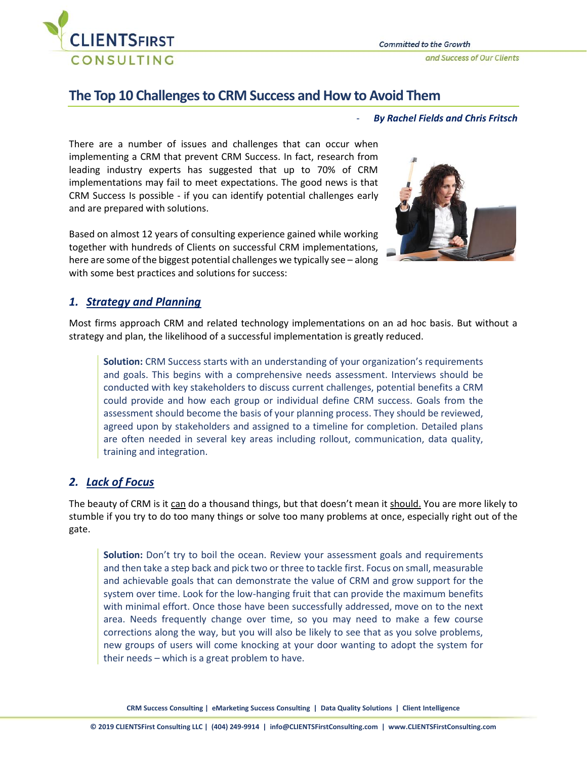

# **The Top 10 Challenges to CRM Success and How to Avoid Them**

- *By Rachel Fields and Chris Fritsch*

There are a number of issues and challenges that can occur when implementing a CRM that prevent CRM Success. In fact, research from leading industry experts has suggested that up to 70% of CRM implementations may fail to meet expectations. The good news is that CRM Success Is possible - if you can identify potential challenges early and are prepared with solutions.

Based on almost 12 years of consulting experience gained while working together with hundreds of Clients on successful CRM implementations, here are some of the biggest potential challenges we typically see – along with some best practices and solutions for success:



# *1. Strategy and Planning*

Most firms approach CRM and related technology implementations on an ad hoc basis. But without a strategy and plan, the likelihood of a successful implementation is greatly reduced.

**Solution:** CRM Success starts with an understanding of your organization's requirements and goals. This begins with a comprehensive needs assessment. Interviews should be conducted with key stakeholders to discuss current challenges, potential benefits a CRM could provide and how each group or individual define CRM success. Goals from the assessment should become the basis of your planning process. They should be reviewed, agreed upon by stakeholders and assigned to a timeline for completion. Detailed plans are often needed in several key areas including rollout, communication, data quality, training and integration.

# *2. Lack of Focus*

The beauty of CRM is it can do a thousand things, but that doesn't mean it should. You are more likely to stumble if you try to do too many things or solve too many problems at once, especially right out of the gate.

**Solution:** Don't try to boil the ocean. Review your assessment goals and requirements and then take a step back and pick two or three to tackle first. Focus on small, measurable and achievable goals that can demonstrate the value of CRM and grow support for the system over time. Look for the low-hanging fruit that can provide the maximum benefits with minimal effort. Once those have been successfully addressed, move on to the next area. Needs frequently change over time, so you may need to make a few course corrections along the way, but you will also be likely to see that as you solve problems, new groups of users will come knocking at your door wanting to adopt the system for their needs – which is a great problem to have.

**CRM Success Consulting | eMarketing Success Consulting | Data Quality Solutions | Client Intelligence**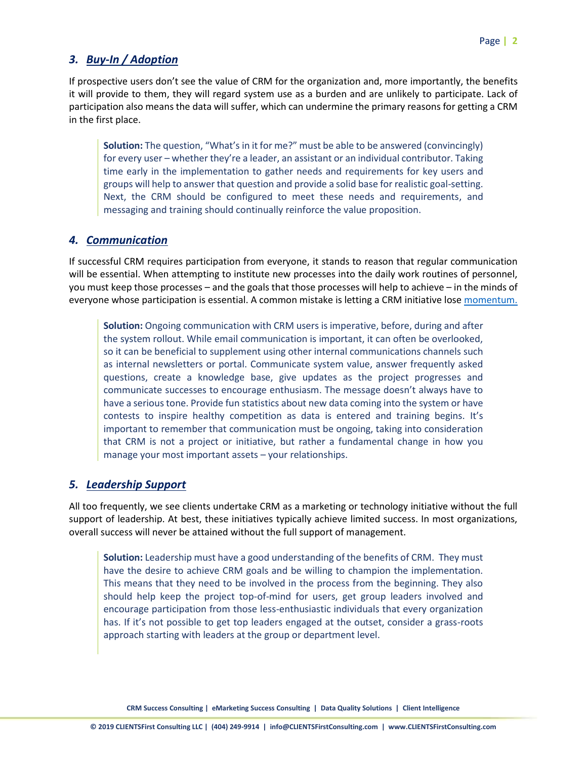# *3. Buy-In / Adoption*

If prospective users don't see the value of CRM for the organization and, more importantly, the benefits it will provide to them, they will regard system use as a burden and are unlikely to participate. Lack of participation also means the data will suffer, which can undermine the primary reasons for getting a CRM in the first place.

**Solution:** The question, "What's in it for me?" must be able to be answered (convincingly) for every user – whether they're a leader, an assistant or an individual contributor. Taking time early in the implementation to gather needs and requirements for key users and groups will help to answer that question and provide a solid base for realistic goal-setting. Next, the CRM should be configured to meet these needs and requirements, and messaging and training should continually reinforce the value proposition.

# *4. Communication*

If successful CRM requires participation from everyone, it stands to reason that regular communication will be essential. When attempting to institute new processes into the daily work routines of personnel, you must keep those processes – and the goals that those processes will help to achieve – in the minds of everyone whose participation is essential. A common mistake is letting a CRM initiative lose [momentum.](https://clientsfirstconsulting.com/services/crm-momentum/)

**Solution:** Ongoing communication with CRM users is imperative, before, during and after the system rollout. While email communication is important, it can often be overlooked, so it can be beneficial to supplement using other internal communications channels such as internal newsletters or portal. Communicate system value, answer frequently asked questions, create a knowledge base, give updates as the project progresses and communicate successes to encourage enthusiasm. The message doesn't always have to have a serious tone. Provide fun statistics about new data coming into the system or have contests to inspire healthy competition as data is entered and training begins. It's important to remember that communication must be ongoing, taking into consideration that CRM is not a project or initiative, but rather a fundamental change in how you manage your most important assets – your relationships.

#### *5. Leadership Support*

All too frequently, we see clients undertake CRM as a marketing or technology initiative without the full support of leadership. At best, these initiatives typically achieve limited success. In most organizations, overall success will never be attained without the full support of management.

**Solution:** Leadership must have a good understanding of the benefits of CRM. They must have the desire to achieve CRM goals and be willing to champion the implementation. This means that they need to be involved in the process from the beginning. They also should help keep the project top-of-mind for users, get group leaders involved and encourage participation from those less-enthusiastic individuals that every organization has. If it's not possible to get top leaders engaged at the outset, consider a grass-roots approach starting with leaders at the group or department level.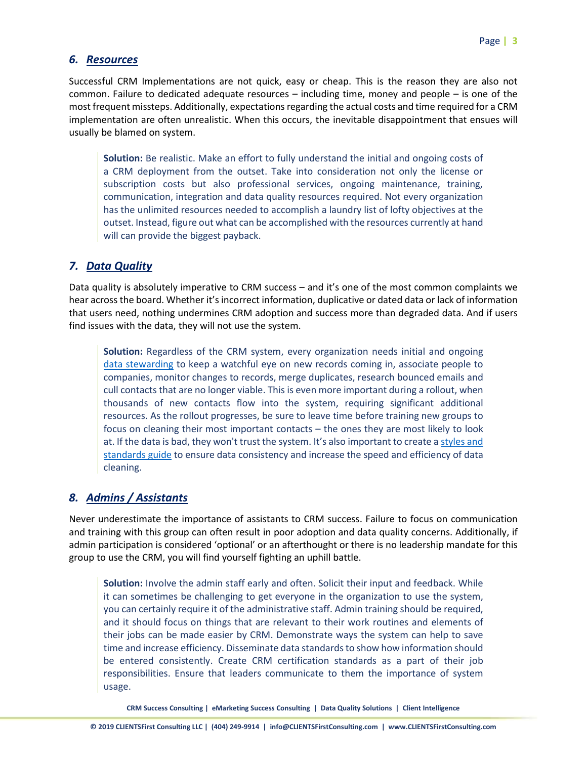#### *6. Resources*

Successful CRM Implementations are not quick, easy or cheap. This is the reason they are also not common. Failure to dedicated adequate resources – including time, money and people – is one of the most frequent missteps. Additionally, expectations regarding the actual costs and time required for a CRM implementation are often unrealistic. When this occurs, the inevitable disappointment that ensues will usually be blamed on system.

**Solution:** Be realistic. Make an effort to fully understand the initial and ongoing costs of a CRM deployment from the outset. Take into consideration not only the license or subscription costs but also professional services, ongoing maintenance, training, communication, integration and data quality resources required. Not every organization has the unlimited resources needed to accomplish a laundry list of lofty objectives at the outset. Instead, figure out what can be accomplished with the resources currently at hand will can provide the biggest payback.

### *7. Data Quality*

Data quality is absolutely imperative to CRM success – and it's one of the most common complaints we hear across the board. Whether it's incorrect information, duplicative or dated data or lack of information that users need, nothing undermines CRM adoption and success more than degraded data. And if users find issues with the data, they will not use the system.

**Solution:** Regardless of the CRM system, every organization needs initial and ongoing [data stewarding](https://clientsfirstconsulting.com/services/data-quality-solutions/) to keep a watchful eye on new records coming in, associate people to companies, monitor changes to records, merge duplicates, research bounced emails and cull contacts that are no longer viable. This is even more important during a rollout, when thousands of new contacts flow into the system, requiring significant additional resources. As the rollout progresses, be sure to leave time before training new groups to focus on cleaning their most important contacts – the ones they are most likely to look at. If the data is bad, they won't trust the system. It's also important to create [a styles and](https://clientsfirstconsulting.com/services/data-quality-solutions-3/#datastandardsguidecreation)  [standards guide](https://clientsfirstconsulting.com/services/data-quality-solutions-3/#datastandardsguidecreation) to ensure data consistency and increase the speed and efficiency of data cleaning.

# *8. Admins / Assistants*

Never underestimate the importance of assistants to CRM success. Failure to focus on communication and training with this group can often result in poor adoption and data quality concerns. Additionally, if admin participation is considered 'optional' or an afterthought or there is no leadership mandate for this group to use the CRM, you will find yourself fighting an uphill battle.

**Solution:** Involve the admin staff early and often. Solicit their input and feedback. While it can sometimes be challenging to get everyone in the organization to use the system, you can certainly require it of the administrative staff. Admin training should be required, and it should focus on things that are relevant to their work routines and elements of their jobs can be made easier by CRM. Demonstrate ways the system can help to save time and increase efficiency. Disseminate data standards to show how information should be entered consistently. Create CRM certification standards as a part of their job responsibilities. Ensure that leaders communicate to them the importance of system usage.

**CRM Success Consulting | eMarketing Success Consulting | Data Quality Solutions | Client Intelligence**